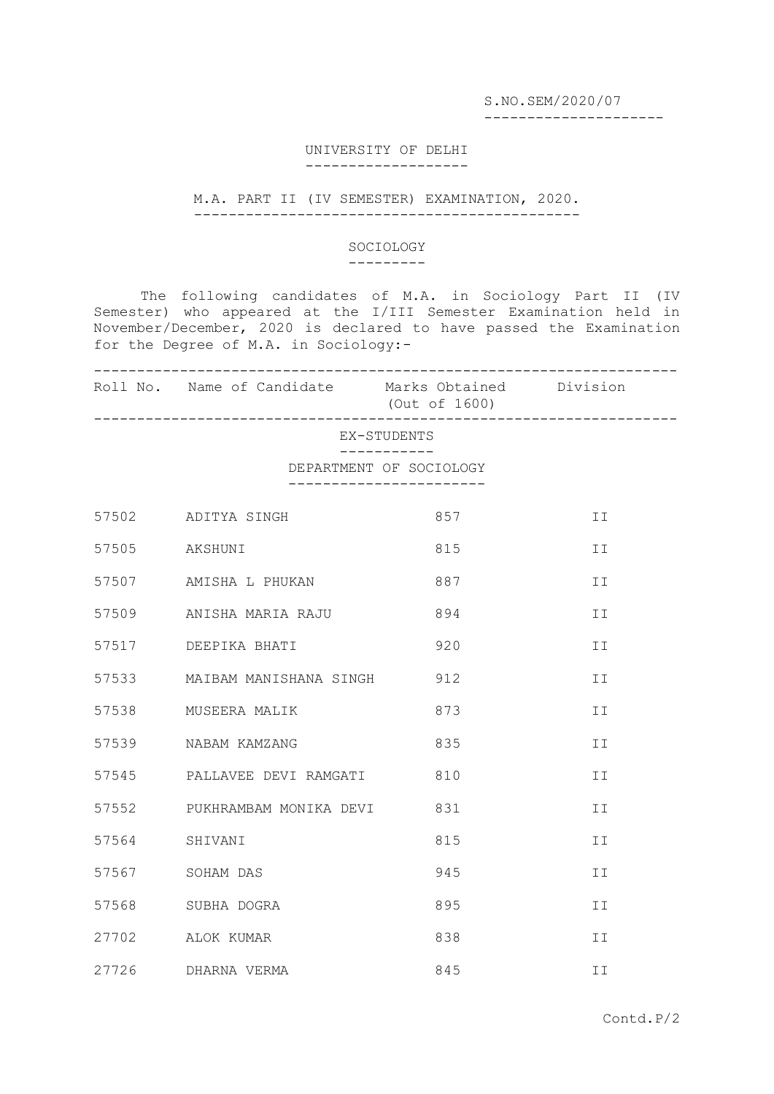S.NO.SEM/2020/07

---------------------

## UNIVERSITY OF DELHI -------------------

## M.A. PART II (IV SEMESTER) EXAMINATION, 2020. ---------------------------------------------

## SOCIOLOGY

---------

The following candidates of M.A. in Sociology Part II (IV Semester) who appeared at the I/III Semester Examination held in November/December, 2020 is declared to have passed the Examination for the Degree of M.A. in Sociology:-

|                            | Roll No. Name of Candidate Marks Obtained Division | (Out of 1600) |    |
|----------------------------|----------------------------------------------------|---------------|----|
| EX-STUDENTS<br>----------- |                                                    |               |    |
| DEPARTMENT OF SOCIOLOGY    |                                                    |               |    |
|                            | 57502 ADITYA SINGH                                 | 857           | II |
|                            | 57505 AKSHUNI                                      | 815           | II |
|                            | 57507 AMISHA L PHUKAN                              | 887           | II |
|                            | 57509 ANISHA MARIA RAJU                            | 894           | II |
|                            | 57517 DEEPIKA BHATI                                | 920           | ΙI |
|                            | 57533 MAIBAM MANISHANA SINGH 912                   |               | II |
|                            | 57538 MUSEERA MALIK                                | 873           | ΙI |
|                            | 57539 NABAM KAMZANG                                | 835           | II |
|                            | 57545 PALLAVEE DEVI RAMGATI 810                    |               | ΙI |
|                            | 57552 PUKHRAMBAM MONIKA DEVI 831                   |               | II |
| 57564                      | SHIVANI                                            | 815           | II |
| 57567                      | SOHAM DAS                                          | 945           | II |
| 57568                      | SUBHA DOGRA                                        | 895           | II |
| 27702                      | ALOK KUMAR                                         | 838           | ΙI |
| 27726                      | DHARNA VERMA                                       | 845           | ΙI |